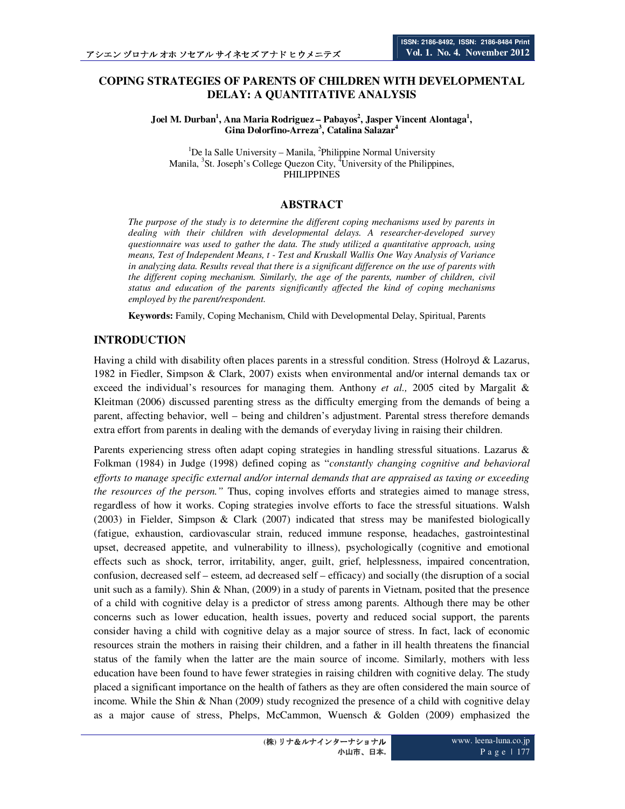# **COPING STRATEGIES OF PARENTS OF CHILDREN WITH DEVELOPMENTAL DELAY: A QUANTITATIVE ANALYSIS**

**Joel M. Durban<sup>1</sup> , Ana Maria Rodriguez – Pabayos<sup>2</sup> , Jasper Vincent Alontaga<sup>1</sup> , Gina Dolorfino-Arreza<sup>3</sup> , Catalina Salazar<sup>4</sup>**

 ${}^{1}$ De la Salle University – Manila, <sup>2</sup>Philippine Normal University Manila, <sup>3</sup>St. Joseph's College Quezon City, <sup>4</sup>University of the Philippines, PHILIPPINES

# **ABSTRACT**

*The purpose of the study is to determine the different coping mechanisms used by parents in dealing with their children with developmental delays. A researcher-developed survey questionnaire was used to gather the data. The study utilized a quantitative approach, using means, Test of Independent Means, t - Test and Kruskall Wallis One Way Analysis of Variance in analyzing data. Results reveal that there is a significant difference on the use of parents with the different coping mechanism. Similarly, the age of the parents, number of children, civil status and education of the parents significantly affected the kind of coping mechanisms employed by the parent/respondent.* 

**Keywords:** Family, Coping Mechanism, Child with Developmental Delay, Spiritual, Parents

# **INTRODUCTION**

Having a child with disability often places parents in a stressful condition. Stress (Holroyd & Lazarus, 1982 in Fiedler, Simpson & Clark, 2007) exists when environmental and/or internal demands tax or exceed the individual's resources for managing them. Anthony *et al.,* 2005 cited by Margalit & Kleitman (2006) discussed parenting stress as the difficulty emerging from the demands of being a parent, affecting behavior, well – being and children's adjustment. Parental stress therefore demands extra effort from parents in dealing with the demands of everyday living in raising their children.

Parents experiencing stress often adapt coping strategies in handling stressful situations. Lazarus & Folkman (1984) in Judge (1998) defined coping as "*constantly changing cognitive and behavioral efforts to manage specific external and/or internal demands that are appraised as taxing or exceeding the resources of the person."* Thus, coping involves efforts and strategies aimed to manage stress, regardless of how it works. Coping strategies involve efforts to face the stressful situations. Walsh (2003) in Fielder, Simpson & Clark (2007) indicated that stress may be manifested biologically (fatigue, exhaustion, cardiovascular strain, reduced immune response, headaches, gastrointestinal upset, decreased appetite, and vulnerability to illness), psychologically (cognitive and emotional effects such as shock, terror, irritability, anger, guilt, grief, helplessness, impaired concentration, confusion, decreased self – esteem, ad decreased self – efficacy) and socially (the disruption of a social unit such as a family). Shin & Nhan, (2009) in a study of parents in Vietnam, posited that the presence of a child with cognitive delay is a predictor of stress among parents. Although there may be other concerns such as lower education, health issues, poverty and reduced social support, the parents consider having a child with cognitive delay as a major source of stress. In fact, lack of economic resources strain the mothers in raising their children, and a father in ill health threatens the financial status of the family when the latter are the main source of income. Similarly, mothers with less education have been found to have fewer strategies in raising children with cognitive delay. The study placed a significant importance on the health of fathers as they are often considered the main source of income. While the Shin & Nhan (2009) study recognized the presence of a child with cognitive delay as a major cause of stress, Phelps, McCammon, Wuensch & Golden (2009) emphasized the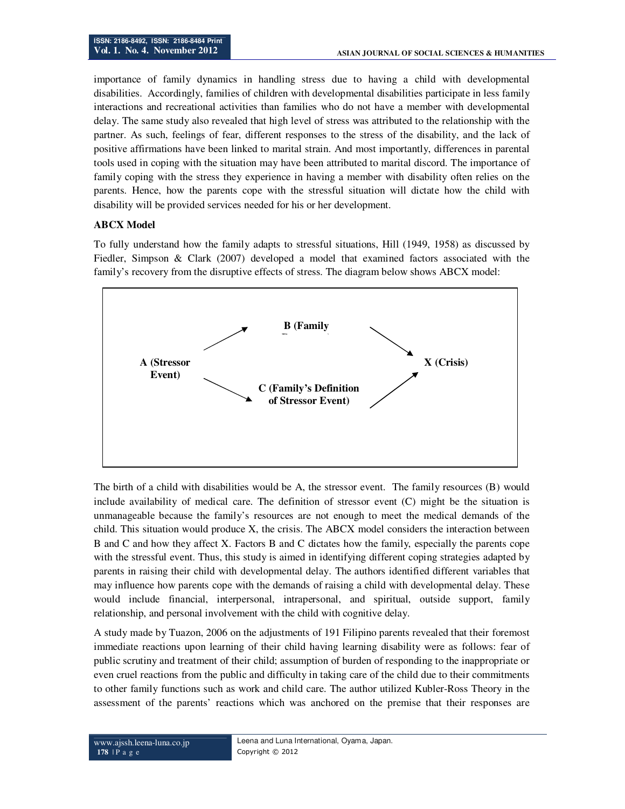importance of family dynamics in handling stress due to having a child with developmental disabilities. Accordingly, families of children with developmental disabilities participate in less family interactions and recreational activities than families who do not have a member with developmental delay. The same study also revealed that high level of stress was attributed to the relationship with the partner. As such, feelings of fear, different responses to the stress of the disability, and the lack of positive affirmations have been linked to marital strain. And most importantly, differences in parental tools used in coping with the situation may have been attributed to marital discord. The importance of family coping with the stress they experience in having a member with disability often relies on the parents. Hence, how the parents cope with the stressful situation will dictate how the child with disability will be provided services needed for his or her development.

## **ABCX Model**

To fully understand how the family adapts to stressful situations, Hill (1949, 1958) as discussed by Fiedler, Simpson & Clark (2007) developed a model that examined factors associated with the family's recovery from the disruptive effects of stress. The diagram below shows ABCX model:



The birth of a child with disabilities would be A, the stressor event. The family resources (B) would include availability of medical care. The definition of stressor event (C) might be the situation is unmanageable because the family's resources are not enough to meet the medical demands of the child. This situation would produce X, the crisis. The ABCX model considers the interaction between B and C and how they affect X. Factors B and C dictates how the family, especially the parents cope with the stressful event. Thus, this study is aimed in identifying different coping strategies adapted by parents in raising their child with developmental delay. The authors identified different variables that may influence how parents cope with the demands of raising a child with developmental delay. These would include financial, interpersonal, intrapersonal, and spiritual, outside support, family relationship, and personal involvement with the child with cognitive delay.

A study made by Tuazon, 2006 on the adjustments of 191 Filipino parents revealed that their foremost immediate reactions upon learning of their child having learning disability were as follows: fear of public scrutiny and treatment of their child; assumption of burden of responding to the inappropriate or even cruel reactions from the public and difficulty in taking care of the child due to their commitments to other family functions such as work and child care. The author utilized Kubler-Ross Theory in the assessment of the parents' reactions which was anchored on the premise that their responses are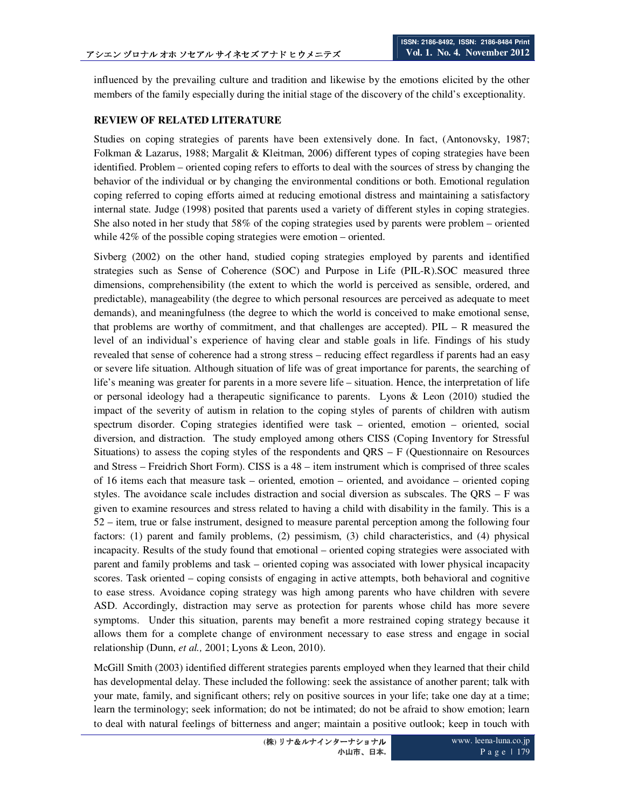influenced by the prevailing culture and tradition and likewise by the emotions elicited by the other members of the family especially during the initial stage of the discovery of the child's exceptionality.

## **REVIEW OF RELATED LITERATURE**

Studies on coping strategies of parents have been extensively done. In fact, (Antonovsky, 1987; Folkman & Lazarus, 1988; Margalit & Kleitman, 2006) different types of coping strategies have been identified. Problem – oriented coping refers to efforts to deal with the sources of stress by changing the behavior of the individual or by changing the environmental conditions or both. Emotional regulation coping referred to coping efforts aimed at reducing emotional distress and maintaining a satisfactory internal state. Judge (1998) posited that parents used a variety of different styles in coping strategies. She also noted in her study that 58% of the coping strategies used by parents were problem – oriented while 42% of the possible coping strategies were emotion – oriented.

Sivberg (2002) on the other hand, studied coping strategies employed by parents and identified strategies such as Sense of Coherence (SOC) and Purpose in Life (PIL-R).SOC measured three dimensions, comprehensibility (the extent to which the world is perceived as sensible, ordered, and predictable), manageability (the degree to which personal resources are perceived as adequate to meet demands), and meaningfulness (the degree to which the world is conceived to make emotional sense, that problems are worthy of commitment, and that challenges are accepted). PIL – R measured the level of an individual's experience of having clear and stable goals in life. Findings of his study revealed that sense of coherence had a strong stress – reducing effect regardless if parents had an easy or severe life situation. Although situation of life was of great importance for parents, the searching of life's meaning was greater for parents in a more severe life – situation. Hence, the interpretation of life or personal ideology had a therapeutic significance to parents. Lyons & Leon (2010) studied the impact of the severity of autism in relation to the coping styles of parents of children with autism spectrum disorder. Coping strategies identified were task – oriented, emotion – oriented, social diversion, and distraction. The study employed among others CISS (Coping Inventory for Stressful Situations) to assess the coping styles of the respondents and QRS – F (Questionnaire on Resources and Stress – Freidrich Short Form). CISS is a 48 – item instrument which is comprised of three scales of 16 items each that measure task – oriented, emotion – oriented, and avoidance – oriented coping styles. The avoidance scale includes distraction and social diversion as subscales. The QRS – F was given to examine resources and stress related to having a child with disability in the family. This is a 52 – item, true or false instrument, designed to measure parental perception among the following four factors: (1) parent and family problems, (2) pessimism, (3) child characteristics, and (4) physical incapacity. Results of the study found that emotional – oriented coping strategies were associated with parent and family problems and task – oriented coping was associated with lower physical incapacity scores. Task oriented – coping consists of engaging in active attempts, both behavioral and cognitive to ease stress. Avoidance coping strategy was high among parents who have children with severe ASD. Accordingly, distraction may serve as protection for parents whose child has more severe symptoms. Under this situation, parents may benefit a more restrained coping strategy because it allows them for a complete change of environment necessary to ease stress and engage in social relationship (Dunn, *et al.,* 2001; Lyons & Leon, 2010).

McGill Smith (2003) identified different strategies parents employed when they learned that their child has developmental delay. These included the following: seek the assistance of another parent; talk with your mate, family, and significant others; rely on positive sources in your life; take one day at a time; learn the terminology; seek information; do not be intimated; do not be afraid to show emotion; learn to deal with natural feelings of bitterness and anger; maintain a positive outlook; keep in touch with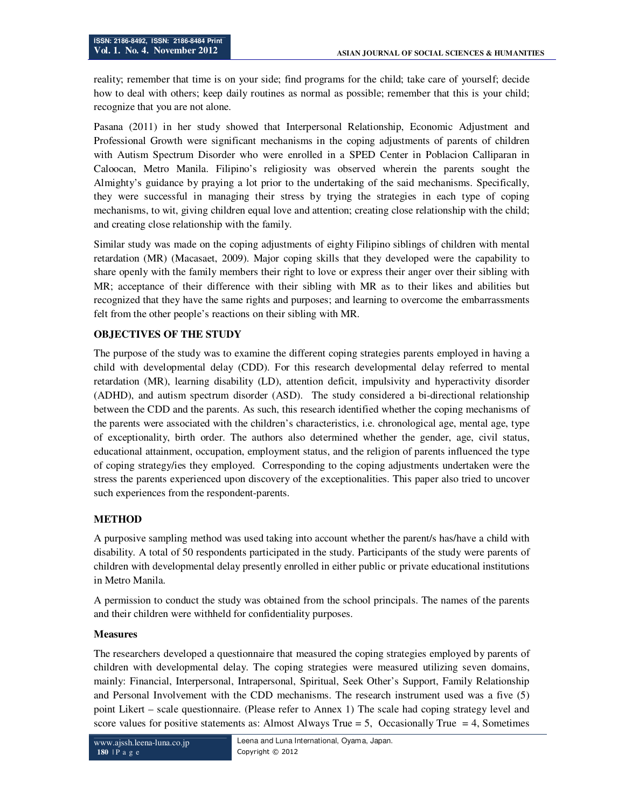reality; remember that time is on your side; find programs for the child; take care of yourself; decide how to deal with others; keep daily routines as normal as possible; remember that this is your child; recognize that you are not alone.

Pasana (2011) in her study showed that Interpersonal Relationship, Economic Adjustment and Professional Growth were significant mechanisms in the coping adjustments of parents of children with Autism Spectrum Disorder who were enrolled in a SPED Center in Poblacion Calliparan in Caloocan, Metro Manila. Filipino's religiosity was observed wherein the parents sought the Almighty's guidance by praying a lot prior to the undertaking of the said mechanisms. Specifically, they were successful in managing their stress by trying the strategies in each type of coping mechanisms, to wit, giving children equal love and attention; creating close relationship with the child; and creating close relationship with the family.

Similar study was made on the coping adjustments of eighty Filipino siblings of children with mental retardation (MR) (Macasaet, 2009). Major coping skills that they developed were the capability to share openly with the family members their right to love or express their anger over their sibling with MR; acceptance of their difference with their sibling with MR as to their likes and abilities but recognized that they have the same rights and purposes; and learning to overcome the embarrassments felt from the other people's reactions on their sibling with MR.

# **OBJECTIVES OF THE STUDY**

The purpose of the study was to examine the different coping strategies parents employed in having a child with developmental delay (CDD). For this research developmental delay referred to mental retardation (MR), learning disability (LD), attention deficit, impulsivity and hyperactivity disorder (ADHD), and autism spectrum disorder (ASD). The study considered a bi-directional relationship between the CDD and the parents. As such, this research identified whether the coping mechanisms of the parents were associated with the children's characteristics, i.e. chronological age, mental age, type of exceptionality, birth order. The authors also determined whether the gender, age, civil status, educational attainment, occupation, employment status, and the religion of parents influenced the type of coping strategy/ies they employed. Corresponding to the coping adjustments undertaken were the stress the parents experienced upon discovery of the exceptionalities. This paper also tried to uncover such experiences from the respondent-parents.

# **METHOD**

A purposive sampling method was used taking into account whether the parent/s has/have a child with disability. A total of 50 respondents participated in the study. Participants of the study were parents of children with developmental delay presently enrolled in either public or private educational institutions in Metro Manila.

A permission to conduct the study was obtained from the school principals. The names of the parents and their children were withheld for confidentiality purposes.

#### **Measures**

The researchers developed a questionnaire that measured the coping strategies employed by parents of children with developmental delay. The coping strategies were measured utilizing seven domains, mainly: Financial, Interpersonal, Intrapersonal, Spiritual, Seek Other's Support, Family Relationship and Personal Involvement with the CDD mechanisms. The research instrument used was a five (5) point Likert – scale questionnaire. (Please refer to Annex 1) The scale had coping strategy level and score values for positive statements as: Almost Always True = 5, Occasionally True = 4, Sometimes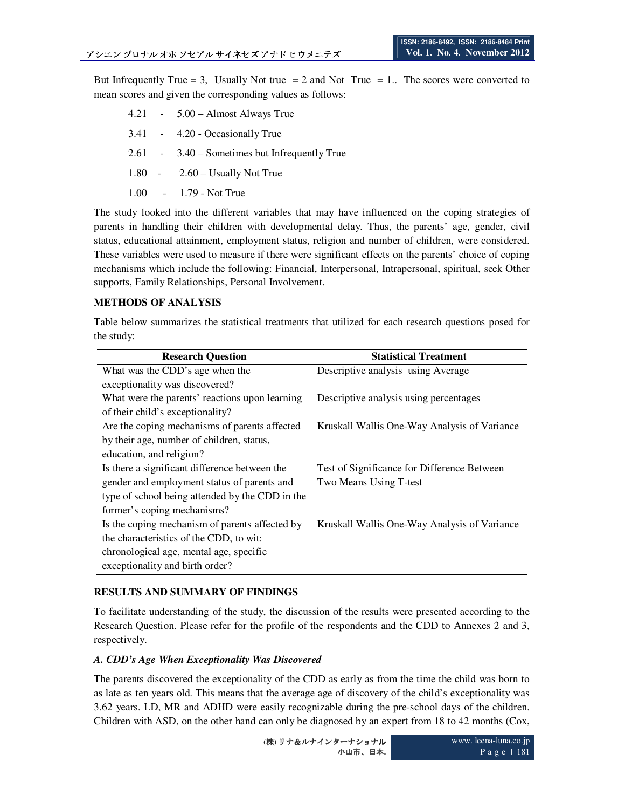But Infrequently True = 3, Usually Not true = 2 and Not True = 1.. The scores were converted to mean scores and given the corresponding values as follows:

- 4.21 5.00 Almost Always True
- 3.41 4.20 Occasionally True
- 2.61 3.40 Sometimes but Infrequently True
- 1.80 2.60 Usually Not True
- 1.00 1.79 Not True

The study looked into the different variables that may have influenced on the coping strategies of parents in handling their children with developmental delay. Thus, the parents' age, gender, civil status, educational attainment, employment status, religion and number of children, were considered. These variables were used to measure if there were significant effects on the parents' choice of coping mechanisms which include the following: Financial, Interpersonal, Intrapersonal, spiritual, seek Other supports, Family Relationships, Personal Involvement.

# **METHODS OF ANALYSIS**

Table below summarizes the statistical treatments that utilized for each research questions posed for the study:

| <b>Research Question</b>                        | <b>Statistical Treatment</b>                 |
|-------------------------------------------------|----------------------------------------------|
| What was the CDD's age when the                 | Descriptive analysis using Average           |
| exceptionality was discovered?                  |                                              |
| What were the parents' reactions upon learning  | Descriptive analysis using percentages       |
| of their child's exceptionality?                |                                              |
| Are the coping mechanisms of parents affected   | Kruskall Wallis One-Way Analysis of Variance |
| by their age, number of children, status,       |                                              |
| education, and religion?                        |                                              |
| Is there a significant difference between the   | Test of Significance for Difference Between  |
| gender and employment status of parents and     | Two Means Using T-test                       |
| type of school being attended by the CDD in the |                                              |
| former's coping mechanisms?                     |                                              |
| Is the coping mechanism of parents affected by  | Kruskall Wallis One-Way Analysis of Variance |
| the characteristics of the CDD, to wit:         |                                              |
| chronological age, mental age, specific         |                                              |
| exceptionality and birth order?                 |                                              |

# **RESULTS AND SUMMARY OF FINDINGS**

To facilitate understanding of the study, the discussion of the results were presented according to the Research Question. Please refer for the profile of the respondents and the CDD to Annexes 2 and 3, respectively.

# *A. CDD's Age When Exceptionality Was Discovered*

The parents discovered the exceptionality of the CDD as early as from the time the child was born to as late as ten years old. This means that the average age of discovery of the child's exceptionality was 3.62 years. LD, MR and ADHD were easily recognizable during the pre-school days of the children. Children with ASD, on the other hand can only be diagnosed by an expert from 18 to 42 months (Cox,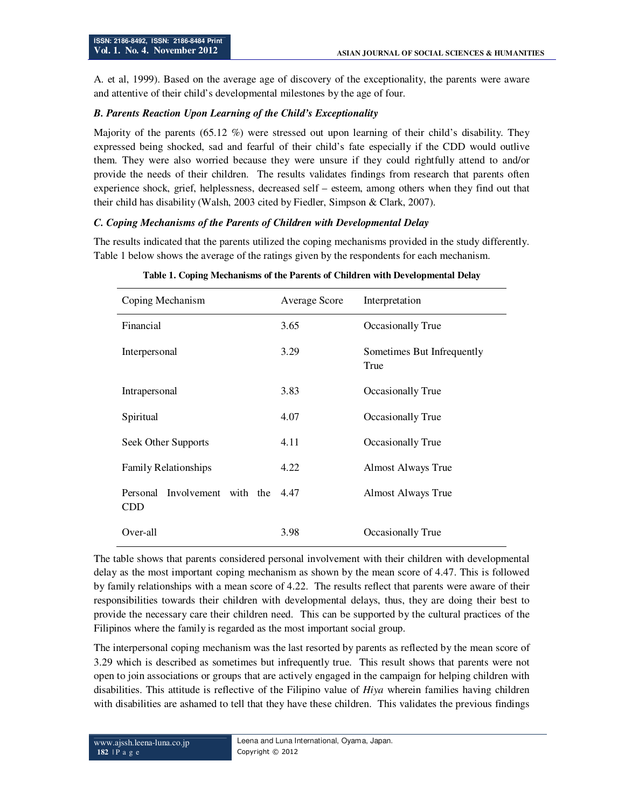A. et al, 1999). Based on the average age of discovery of the exceptionality, the parents were aware and attentive of their child's developmental milestones by the age of four.

## *B. Parents Reaction Upon Learning of the Child's Exceptionality*

Majority of the parents (65.12 %) were stressed out upon learning of their child's disability. They expressed being shocked, sad and fearful of their child's fate especially if the CDD would outlive them. They were also worried because they were unsure if they could rightfully attend to and/or provide the needs of their children. The results validates findings from research that parents often experience shock, grief, helplessness, decreased self – esteem, among others when they find out that their child has disability (Walsh, 2003 cited by Fiedler, Simpson & Clark, 2007).

## *C. Coping Mechanisms of the Parents of Children with Developmental Delay*

The results indicated that the parents utilized the coping mechanisms provided in the study differently. Table 1 below shows the average of the ratings given by the respondents for each mechanism.

| Coping Mechanism                            | <b>Average Score</b> | Interpretation                     |
|---------------------------------------------|----------------------|------------------------------------|
| Financial                                   | 3.65                 | Occasionally True                  |
| Interpersonal                               | 3.29                 | Sometimes But Infrequently<br>True |
| Intrapersonal                               | 3.83                 | Occasionally True                  |
| Spiritual                                   | 4.07                 | Occasionally True                  |
| Seek Other Supports                         | 4.11                 | Occasionally True                  |
| <b>Family Relationships</b>                 | 4.22                 | <b>Almost Always True</b>          |
| Personal Involvement with the<br><b>CDD</b> | 4.47                 | Almost Always True                 |
| Over-all                                    | 3.98                 | Occasionally True                  |

**Table 1. Coping Mechanisms of the Parents of Children with Developmental Delay** 

The table shows that parents considered personal involvement with their children with developmental delay as the most important coping mechanism as shown by the mean score of 4.47. This is followed by family relationships with a mean score of 4.22. The results reflect that parents were aware of their responsibilities towards their children with developmental delays, thus, they are doing their best to provide the necessary care their children need. This can be supported by the cultural practices of the Filipinos where the family is regarded as the most important social group.

The interpersonal coping mechanism was the last resorted by parents as reflected by the mean score of 3.29 which is described as sometimes but infrequently true. This result shows that parents were not open to join associations or groups that are actively engaged in the campaign for helping children with disabilities. This attitude is reflective of the Filipino value of *Hiya* wherein families having children with disabilities are ashamed to tell that they have these children. This validates the previous findings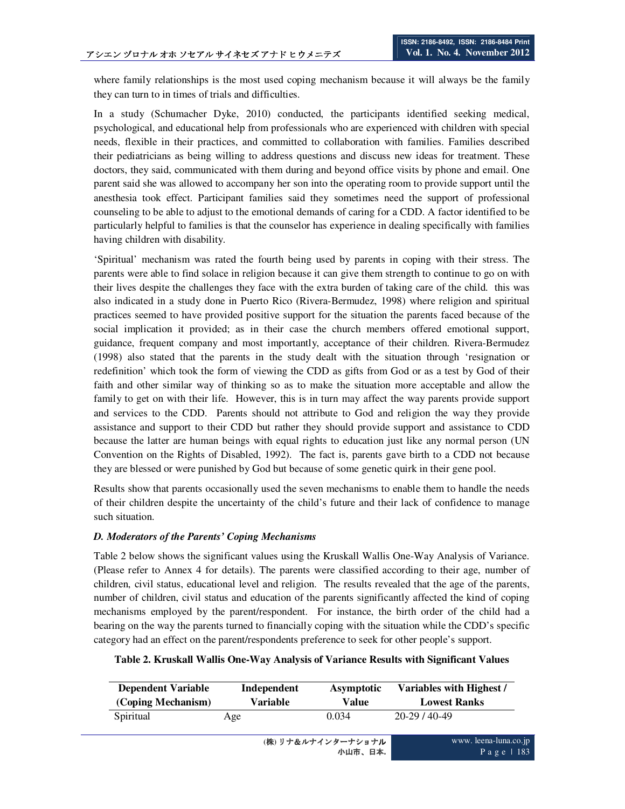where family relationships is the most used coping mechanism because it will always be the family they can turn to in times of trials and difficulties.

In a study (Schumacher Dyke, 2010) conducted, the participants identified seeking medical, psychological, and educational help from professionals who are experienced with children with special needs, flexible in their practices, and committed to collaboration with families. Families described their pediatricians as being willing to address questions and discuss new ideas for treatment. These doctors, they said, communicated with them during and beyond office visits by phone and email. One parent said she was allowed to accompany her son into the operating room to provide support until the anesthesia took effect. Participant families said they sometimes need the support of professional counseling to be able to adjust to the emotional demands of caring for a CDD. A factor identified to be particularly helpful to families is that the counselor has experience in dealing specifically with families having children with disability.

'Spiritual' mechanism was rated the fourth being used by parents in coping with their stress. The parents were able to find solace in religion because it can give them strength to continue to go on with their lives despite the challenges they face with the extra burden of taking care of the child. this was also indicated in a study done in Puerto Rico (Rivera-Bermudez, 1998) where religion and spiritual practices seemed to have provided positive support for the situation the parents faced because of the social implication it provided; as in their case the church members offered emotional support, guidance, frequent company and most importantly, acceptance of their children. Rivera-Bermudez (1998) also stated that the parents in the study dealt with the situation through 'resignation or redefinition' which took the form of viewing the CDD as gifts from God or as a test by God of their faith and other similar way of thinking so as to make the situation more acceptable and allow the family to get on with their life. However, this is in turn may affect the way parents provide support and services to the CDD. Parents should not attribute to God and religion the way they provide assistance and support to their CDD but rather they should provide support and assistance to CDD because the latter are human beings with equal rights to education just like any normal person (UN Convention on the Rights of Disabled, 1992). The fact is, parents gave birth to a CDD not because they are blessed or were punished by God but because of some genetic quirk in their gene pool.

Results show that parents occasionally used the seven mechanisms to enable them to handle the needs of their children despite the uncertainty of the child's future and their lack of confidence to manage such situation.

#### *D. Moderators of the Parents' Coping Mechanisms*

Table 2 below shows the significant values using the Kruskall Wallis One-Way Analysis of Variance. (Please refer to Annex 4 for details). The parents were classified according to their age, number of children, civil status, educational level and religion. The results revealed that the age of the parents, number of children, civil status and education of the parents significantly affected the kind of coping mechanisms employed by the parent/respondent. For instance, the birth order of the child had a bearing on the way the parents turned to financially coping with the situation while the CDD's specific category had an effect on the parent/respondents preference to seek for other people's support.

#### **Table 2. Kruskall Wallis One-Way Analysis of Variance Results with Significant Values**

| <b>Dependent Variable</b> | Independent | Asymptotic | Variables with Highest / |
|---------------------------|-------------|------------|--------------------------|
| (Coping Mechanism)        | Variable    | Value      | <b>Lowest Ranks</b>      |
| Spiritual                 | Age         | 0.034      | $20-29/40-49$            |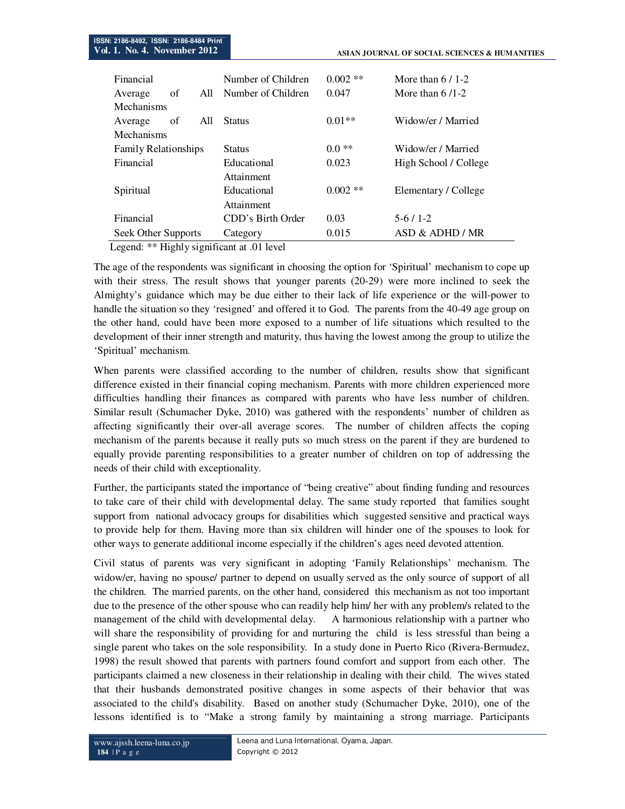| Financial            | Number of Children | $0.002$ ** | More than $6/1-2$     |
|----------------------|--------------------|------------|-----------------------|
| οf<br>A11<br>Average | Number of Children | 0.047      | More than $6/1-2$     |
| Mechanisms           |                    |            |                       |
| All<br>οf<br>Average | <b>Status</b>      | $0.01**$   | Widow/er / Married    |
| <b>Mechanisms</b>    |                    |            |                       |
| Family Relationships | <b>Status</b>      | $0.0**$    | Widow/er / Married    |
| Financial            | Educational        | 0.023      | High School / College |
|                      | Attainment         |            |                       |
| Spiritual            | Educational        | $0.002$ ** | Elementary / College  |
|                      | Attainment         |            |                       |
| Financial            | CDD's Birth Order  | 0.03       | $5-6/1-2$             |
| Seek Other Supports  | Category           | 0.015      | ASD & ADHD / MR       |

Legend: \*\* Highly significant at .01 level

The age of the respondents was significant in choosing the option for 'Spiritual' mechanism to cope up with their stress. The result shows that younger parents (20-29) were more inclined to seek the Almighty's guidance which may be due either to their lack of life experience or the will-power to handle the situation so they 'resigned' and offered it to God. The parents from the 40-49 age group on the other hand, could have been more exposed to a number of life situations which resulted to the development of their inner strength and maturity, thus having the lowest among the group to utilize the 'Spiritual' mechanism.

When parents were classified according to the number of children, results show that significant difference existed in their financial coping mechanism. Parents with more children experienced more difficulties handling their finances as compared with parents who have less number of children. Similar result (Schumacher Dyke, 2010) was gathered with the respondents' number of children as affecting significantly their over-all average scores. The number of children affects the coping mechanism of the parents because it really puts so much stress on the parent if they are burdened to equally provide parenting responsibilities to a greater number of children on top of addressing the needs of their child with exceptionality.

Further, the participants stated the importance of "being creative" about finding funding and resources to take care of their child with developmental delay. The same study reported that families sought support from national advocacy groups for disabilities which suggested sensitive and practical ways to provide help for them. Having more than six children will hinder one of the spouses to look for other ways to generate additional income especially if the children's ages need devoted attention.

Civil status of parents was very significant in adopting 'Family Relationships' mechanism. The widow/er, having no spouse/ partner to depend on usually served as the only source of support of all the children. The married parents, on the other hand, considered this mechanism as not too important due to the presence of the other spouse who can readily help him/ her with any problem/s related to the management of the child with developmental delay. A harmonious relationship with a partner who will share the responsibility of providing for and nurturing the child is less stressful than being a single parent who takes on the sole responsibility. In a study done in Puerto Rico (Rivera-Bermudez, 1998) the result showed that parents with partners found comfort and support from each other. The participants claimed a new closeness in their relationship in dealing with their child. The wives stated that their husbands demonstrated positive changes in some aspects of their behavior that was associated to the child's disability. Based on another study (Schumacher Dyke, 2010), one of the lessons identified is to "Make a strong family by maintaining a strong marriage. Participants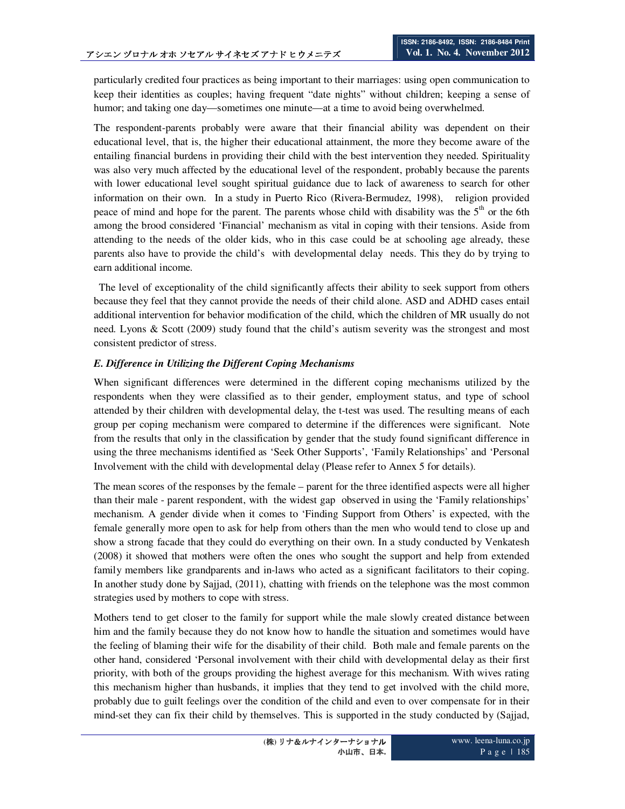particularly credited four practices as being important to their marriages: using open communication to keep their identities as couples; having frequent "date nights" without children; keeping a sense of humor; and taking one day—sometimes one minute—at a time to avoid being overwhelmed.

The respondent-parents probably were aware that their financial ability was dependent on their educational level, that is, the higher their educational attainment, the more they become aware of the entailing financial burdens in providing their child with the best intervention they needed. Spirituality was also very much affected by the educational level of the respondent, probably because the parents with lower educational level sought spiritual guidance due to lack of awareness to search for other information on their own. In a study in Puerto Rico (Rivera-Bermudez, 1998), religion provided peace of mind and hope for the parent. The parents whose child with disability was the  $5<sup>th</sup>$  or the 6th among the brood considered 'Financial' mechanism as vital in coping with their tensions. Aside from attending to the needs of the older kids, who in this case could be at schooling age already, these parents also have to provide the child's with developmental delay needs. This they do by trying to earn additional income.

 The level of exceptionality of the child significantly affects their ability to seek support from others because they feel that they cannot provide the needs of their child alone. ASD and ADHD cases entail additional intervention for behavior modification of the child, which the children of MR usually do not need. Lyons & Scott (2009) study found that the child's autism severity was the strongest and most consistent predictor of stress.

## *E. Difference in Utilizing the Different Coping Mechanisms*

When significant differences were determined in the different coping mechanisms utilized by the respondents when they were classified as to their gender, employment status, and type of school attended by their children with developmental delay, the t-test was used. The resulting means of each group per coping mechanism were compared to determine if the differences were significant. Note from the results that only in the classification by gender that the study found significant difference in using the three mechanisms identified as 'Seek Other Supports', 'Family Relationships' and 'Personal Involvement with the child with developmental delay (Please refer to Annex 5 for details).

The mean scores of the responses by the female – parent for the three identified aspects were all higher than their male - parent respondent, with the widest gap observed in using the 'Family relationships' mechanism. A gender divide when it comes to 'Finding Support from Others' is expected, with the female generally more open to ask for help from others than the men who would tend to close up and show a strong facade that they could do everything on their own. In a study conducted by Venkatesh (2008) it showed that mothers were often the ones who sought the support and help from extended family members like grandparents and in-laws who acted as a significant facilitators to their coping. In another study done by Sajjad, (2011), chatting with friends on the telephone was the most common strategies used by mothers to cope with stress.

Mothers tend to get closer to the family for support while the male slowly created distance between him and the family because they do not know how to handle the situation and sometimes would have the feeling of blaming their wife for the disability of their child. Both male and female parents on the other hand, considered 'Personal involvement with their child with developmental delay as their first priority, with both of the groups providing the highest average for this mechanism. With wives rating this mechanism higher than husbands, it implies that they tend to get involved with the child more, probably due to guilt feelings over the condition of the child and even to over compensate for in their mind-set they can fix their child by themselves. This is supported in the study conducted by (Sajjad,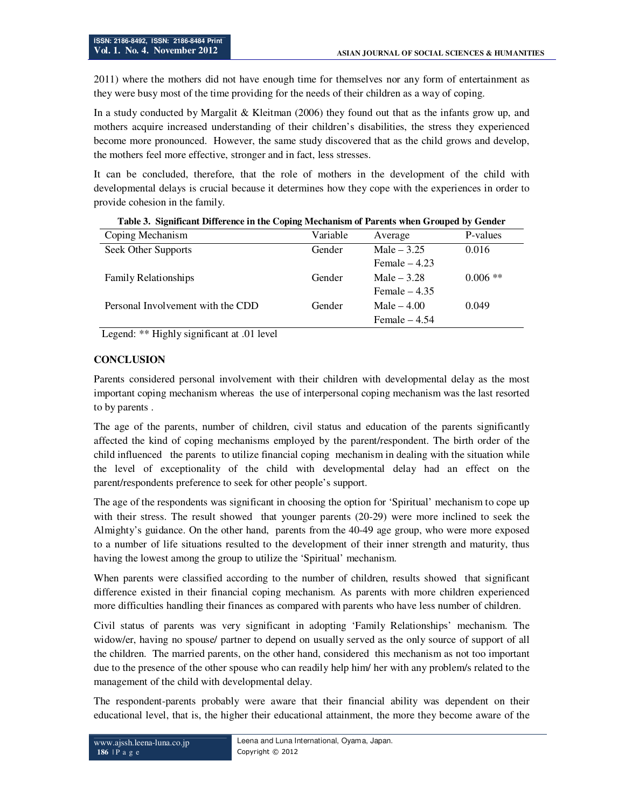2011) where the mothers did not have enough time for themselves nor any form of entertainment as they were busy most of the time providing for the needs of their children as a way of coping.

In a study conducted by Margalit & Kleitman (2006) they found out that as the infants grow up, and mothers acquire increased understanding of their children's disabilities, the stress they experienced become more pronounced. However, the same study discovered that as the child grows and develop, the mothers feel more effective, stronger and in fact, less stresses.

It can be concluded, therefore, that the role of mothers in the development of the child with developmental delays is crucial because it determines how they cope with the experiences in order to provide cohesion in the family.

| Coping Mechanism                  | Variable | Average        | P-values   |
|-----------------------------------|----------|----------------|------------|
| Seek Other Supports               | Gender   | Male $-3.25$   | 0.016      |
|                                   |          | Female $-4.23$ |            |
| <b>Family Relationships</b>       | Gender   | Male $-3.28$   | $0.006$ ** |
|                                   |          | Female $-4.35$ |            |
| Personal Involvement with the CDD | Gender   | Male $-4.00$   | 0.049      |
|                                   |          | Female $-4.54$ |            |

**Table 3. Significant Difference in the Coping Mechanism of Parents when Grouped by Gender** 

Legend: \*\* Highly significant at .01 level

#### **CONCLUSION**

Parents considered personal involvement with their children with developmental delay as the most important coping mechanism whereas the use of interpersonal coping mechanism was the last resorted to by parents .

The age of the parents, number of children, civil status and education of the parents significantly affected the kind of coping mechanisms employed by the parent/respondent. The birth order of the child influenced the parents to utilize financial coping mechanism in dealing with the situation while the level of exceptionality of the child with developmental delay had an effect on the parent/respondents preference to seek for other people's support.

The age of the respondents was significant in choosing the option for 'Spiritual' mechanism to cope up with their stress. The result showed that younger parents (20-29) were more inclined to seek the Almighty's guidance. On the other hand, parents from the 40-49 age group, who were more exposed to a number of life situations resulted to the development of their inner strength and maturity, thus having the lowest among the group to utilize the 'Spiritual' mechanism.

When parents were classified according to the number of children, results showed that significant difference existed in their financial coping mechanism. As parents with more children experienced more difficulties handling their finances as compared with parents who have less number of children.

Civil status of parents was very significant in adopting 'Family Relationships' mechanism. The widow/er, having no spouse/ partner to depend on usually served as the only source of support of all the children. The married parents, on the other hand, considered this mechanism as not too important due to the presence of the other spouse who can readily help him/ her with any problem/s related to the management of the child with developmental delay.

The respondent-parents probably were aware that their financial ability was dependent on their educational level, that is, the higher their educational attainment, the more they become aware of the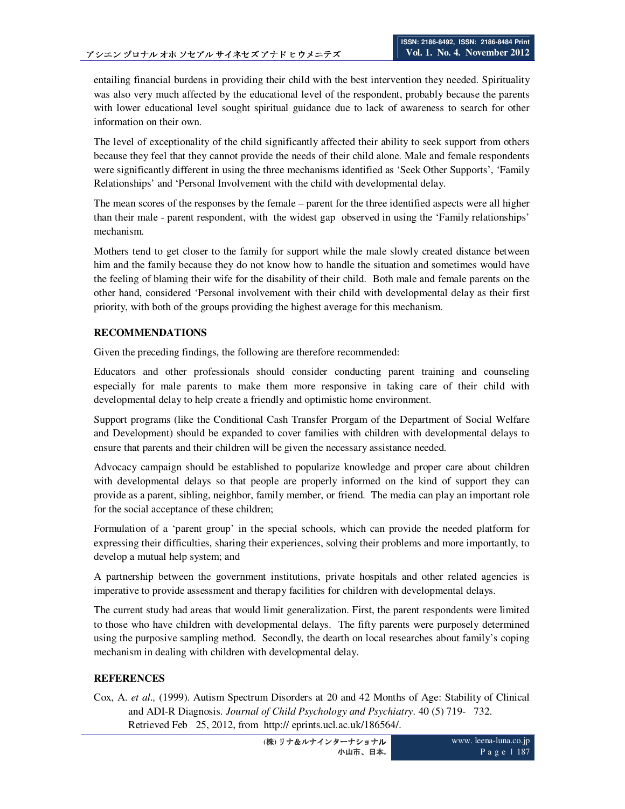entailing financial burdens in providing their child with the best intervention they needed. Spirituality was also very much affected by the educational level of the respondent, probably because the parents with lower educational level sought spiritual guidance due to lack of awareness to search for other information on their own.

The level of exceptionality of the child significantly affected their ability to seek support from others because they feel that they cannot provide the needs of their child alone. Male and female respondents were significantly different in using the three mechanisms identified as 'Seek Other Supports', 'Family Relationships' and 'Personal Involvement with the child with developmental delay.

The mean scores of the responses by the female – parent for the three identified aspects were all higher than their male - parent respondent, with the widest gap observed in using the 'Family relationships' mechanism.

Mothers tend to get closer to the family for support while the male slowly created distance between him and the family because they do not know how to handle the situation and sometimes would have the feeling of blaming their wife for the disability of their child. Both male and female parents on the other hand, considered 'Personal involvement with their child with developmental delay as their first priority, with both of the groups providing the highest average for this mechanism.

## **RECOMMENDATIONS**

Given the preceding findings, the following are therefore recommended:

Educators and other professionals should consider conducting parent training and counseling especially for male parents to make them more responsive in taking care of their child with developmental delay to help create a friendly and optimistic home environment.

Support programs (like the Conditional Cash Transfer Prorgam of the Department of Social Welfare and Development) should be expanded to cover families with children with developmental delays to ensure that parents and their children will be given the necessary assistance needed.

Advocacy campaign should be established to popularize knowledge and proper care about children with developmental delays so that people are properly informed on the kind of support they can provide as a parent, sibling, neighbor, family member, or friend. The media can play an important role for the social acceptance of these children;

Formulation of a 'parent group' in the special schools, which can provide the needed platform for expressing their difficulties, sharing their experiences, solving their problems and more importantly, to develop a mutual help system; and

A partnership between the government institutions, private hospitals and other related agencies is imperative to provide assessment and therapy facilities for children with developmental delays.

The current study had areas that would limit generalization. First, the parent respondents were limited to those who have children with developmental delays. The fifty parents were purposely determined using the purposive sampling method. Secondly, the dearth on local researches about family's coping mechanism in dealing with children with developmental delay.

# **REFERENCES**

Cox, A. *et al.,* (1999). Autism Spectrum Disorders at 20 and 42 Months of Age: Stability of Clinical and ADI-R Diagnosis. *Journal of Child Psychology and Psychiatry*. 40 (5) 719- 732. Retrieved Feb 25, 2012, from http:// eprints.ucl.ac.uk/186564/.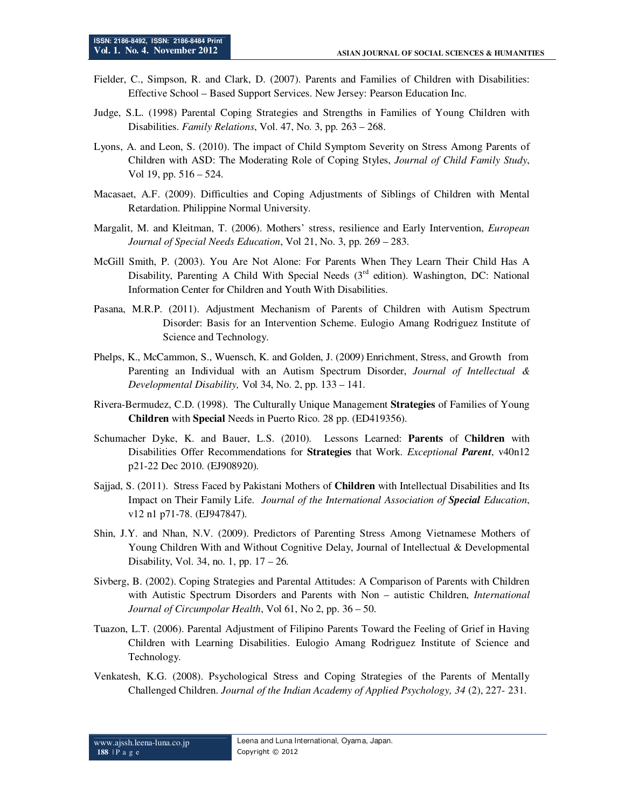- Fielder, C., Simpson, R. and Clark, D. (2007). Parents and Families of Children with Disabilities: Effective School – Based Support Services. New Jersey: Pearson Education Inc.
- Judge, S.L. (1998) Parental Coping Strategies and Strengths in Families of Young Children with Disabilities. *Family Relations*, Vol. 47, No. 3, pp. 263 – 268.
- Lyons, A. and Leon, S. (2010). The impact of Child Symptom Severity on Stress Among Parents of Children with ASD: The Moderating Role of Coping Styles, *Journal of Child Family Study*, Vol 19, pp. 516 – 524.
- Macasaet, A.F. (2009). Difficulties and Coping Adjustments of Siblings of Children with Mental Retardation. Philippine Normal University.
- Margalit, M. and Kleitman, T. (2006). Mothers' stress, resilience and Early Intervention, *European Journal of Special Needs Education*, Vol 21, No. 3, pp. 269 – 283.
- McGill Smith, P. (2003). You Are Not Alone: For Parents When They Learn Their Child Has A Disability, Parenting A Child With Special Needs (3<sup>rd</sup> edition). Washington, DC: National Information Center for Children and Youth With Disabilities.
- Pasana, M.R.P. (2011). Adjustment Mechanism of Parents of Children with Autism Spectrum Disorder: Basis for an Intervention Scheme. Eulogio Amang Rodriguez Institute of Science and Technology.
- Phelps, K., McCammon, S., Wuensch, K. and Golden, J. (2009) Enrichment, Stress, and Growth from Parenting an Individual with an Autism Spectrum Disorder, *Journal of Intellectual & Developmental Disability,* Vol 34, No. 2, pp. 133 – 141.
- Rivera-Bermudez, C.D. (1998). The Culturally Unique Management **Strategies** of Families of Young **Children** with **Special** Needs in Puerto Rico. 28 pp. (ED419356).
- Schumacher Dyke, K. and Bauer, L.S. (2010). Lessons Learned: **Parents** of C**hildren** with Disabilities Offer Recommendations for **Strategies** that Work. *Exceptional Parent*, v40n12 p21-22 Dec 2010. (EJ908920).
- Sajjad, S. (2011). Stress Faced by Pakistani Mothers of **Children** with Intellectual Disabilities and Its Impact on Their Family Life. *Journal of the International Association of Special Education*, v12 n1 p71-78. (EJ947847).
- Shin, J.Y. and Nhan, N.V. (2009). Predictors of Parenting Stress Among Vietnamese Mothers of Young Children With and Without Cognitive Delay, Journal of Intellectual & Developmental Disability, Vol. 34, no. 1, pp. 17 – 26.
- Sivberg, B. (2002). Coping Strategies and Parental Attitudes: A Comparison of Parents with Children with Autistic Spectrum Disorders and Parents with Non – autistic Children, *International Journal of Circumpolar Health*, Vol 61, No 2, pp. 36 – 50.
- Tuazon, L.T. (2006). Parental Adjustment of Filipino Parents Toward the Feeling of Grief in Having Children with Learning Disabilities. Eulogio Amang Rodriguez Institute of Science and Technology.
- Venkatesh, K.G. (2008). Psychological Stress and Coping Strategies of the Parents of Mentally Challenged Children. *Journal of the Indian Academy of Applied Psychology, 34* (2), 227- 231.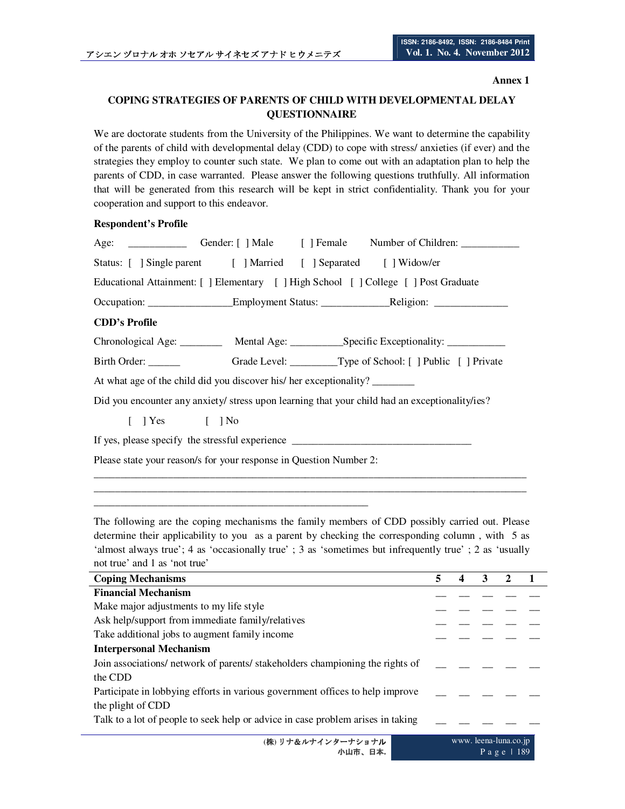#### **Annex 1**

P a g e | 189

# **COPING STRATEGIES OF PARENTS OF CHILD WITH DEVELOPMENTAL DELAY QUESTIONNAIRE**

We are doctorate students from the University of the Philippines. We want to determine the capability of the parents of child with developmental delay (CDD) to cope with stress/ anxieties (if ever) and the strategies they employ to counter such state. We plan to come out with an adaptation plan to help the parents of CDD, in case warranted. Please answer the following questions truthfully. All information that will be generated from this research will be kept in strict confidentiality. Thank you for your cooperation and support to this endeavor.

#### **Respondent's Profile**

| Status: [ ] Single parent [ ] Married [ ] Separated [ ] Widow/er                 |  |  |                                                                                                |  |
|----------------------------------------------------------------------------------|--|--|------------------------------------------------------------------------------------------------|--|
|                                                                                  |  |  | Educational Attainment: [] Elementary [] High School [] College [] Post Graduate               |  |
|                                                                                  |  |  |                                                                                                |  |
| <b>CDD's Profile</b>                                                             |  |  |                                                                                                |  |
|                                                                                  |  |  |                                                                                                |  |
|                                                                                  |  |  |                                                                                                |  |
| At what age of the child did you discover his/ her exceptionality?               |  |  |                                                                                                |  |
|                                                                                  |  |  | Did you encounter any anxiety/ stress upon learning that your child had an exceptionality/ies? |  |
| $[ ]$ Yes $[ ]$ No                                                               |  |  |                                                                                                |  |
| If yes, please specify the stressful experience ________________________________ |  |  |                                                                                                |  |
| Please state your reason/s for your response in Question Number 2:               |  |  |                                                                                                |  |
|                                                                                  |  |  |                                                                                                |  |
|                                                                                  |  |  |                                                                                                |  |

The following are the coping mechanisms the family members of CDD possibly carried out. Please determine their applicability to you as a parent by checking the corresponding column , with 5 as 'almost always true'; 4 as 'occasionally true' ; 3 as 'sometimes but infrequently true' ; 2 as 'usually not true' and 1 as 'not true'

\_\_\_\_\_\_\_\_\_\_\_\_\_\_\_\_\_\_\_\_\_\_\_\_\_\_\_\_\_\_\_\_\_\_\_\_\_\_\_\_\_\_\_\_\_\_\_\_\_\_\_\_

| <b>Coping Mechanisms</b>                                                        | 5 |                      | 3 | 2          |  |
|---------------------------------------------------------------------------------|---|----------------------|---|------------|--|
| <b>Financial Mechanism</b>                                                      |   |                      |   |            |  |
| Make major adjustments to my life style                                         |   |                      |   |            |  |
| Ask help/support from immediate family/relatives                                |   |                      |   |            |  |
| Take additional jobs to augment family income                                   |   |                      |   |            |  |
| <b>Interpersonal Mechanism</b>                                                  |   |                      |   |            |  |
| Join associations/ network of parents/ stakeholders championing the rights of   |   |                      |   |            |  |
| the CDD                                                                         |   |                      |   |            |  |
| Participate in lobbying efforts in various government offices to help improve   |   |                      |   |            |  |
| the plight of CDD                                                               |   |                      |   |            |  |
| Talk to a lot of people to seek help or advice in case problem arises in taking |   |                      |   |            |  |
|                                                                                 |   |                      |   |            |  |
| (株) リナ&ルナインターナショナル                                                              |   | www.leena-luna.co.jp |   |            |  |
| 小山市、日本.                                                                         |   |                      |   | Page $189$ |  |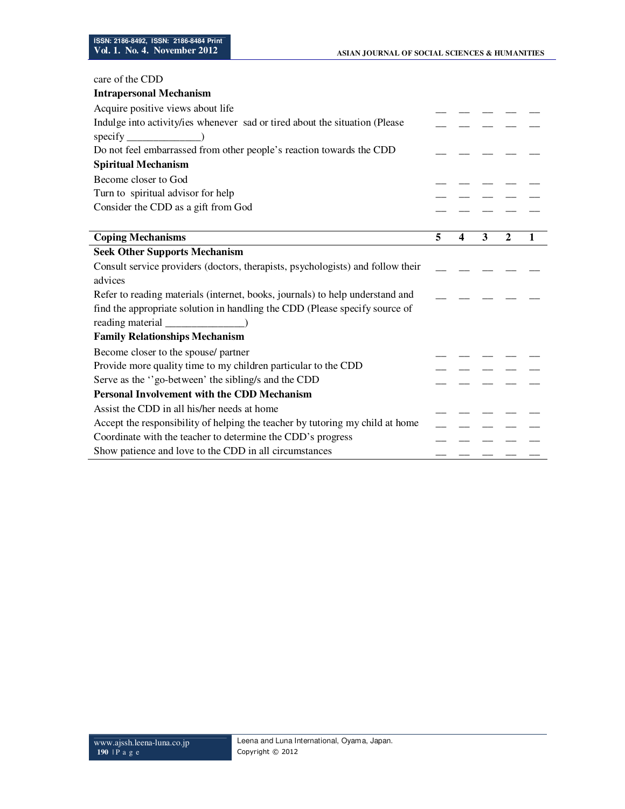| care of the CDD                                                                 |   |                         |   |              |   |
|---------------------------------------------------------------------------------|---|-------------------------|---|--------------|---|
| <b>Intrapersonal Mechanism</b>                                                  |   |                         |   |              |   |
| Acquire positive views about life                                               |   |                         |   |              |   |
| Indulge into activity/ies whenever sad or tired about the situation (Please     |   |                         |   |              |   |
| $\text{specify}$ $\qquad \qquad$ )                                              |   |                         |   |              |   |
| Do not feel embarrassed from other people's reaction towards the CDD            |   |                         |   |              |   |
| <b>Spiritual Mechanism</b>                                                      |   |                         |   |              |   |
| Become closer to God                                                            |   |                         |   |              |   |
| Turn to spiritual advisor for help                                              |   |                         |   |              |   |
| Consider the CDD as a gift from God                                             |   |                         |   |              |   |
|                                                                                 |   |                         |   |              |   |
| <b>Coping Mechanisms</b>                                                        | 5 | $\overline{\mathbf{4}}$ | 3 | $\mathbf{2}$ | 1 |
| <b>Seek Other Supports Mechanism</b>                                            |   |                         |   |              |   |
| Consult service providers (doctors, therapists, psychologists) and follow their |   |                         |   |              |   |
| advices                                                                         |   |                         |   |              |   |
| Refer to reading materials (internet, books, journals) to help understand and   |   |                         |   |              |   |
| find the appropriate solution in handling the CDD (Please specify source of     |   |                         |   |              |   |
|                                                                                 |   |                         |   |              |   |
| <b>Family Relationships Mechanism</b>                                           |   |                         |   |              |   |
| Become closer to the spouse/ partner                                            |   |                         |   |              |   |
| Provide more quality time to my children particular to the CDD                  |   |                         |   |              |   |
| Serve as the "go-between' the sibling/s and the CDD                             |   |                         |   |              |   |
| Personal Involvement with the CDD Mechanism                                     |   |                         |   |              |   |
| Assist the CDD in all his/her needs at home                                     |   |                         |   |              |   |
| Accept the responsibility of helping the teacher by tutoring my child at home   |   |                         |   |              |   |
| Coordinate with the teacher to determine the CDD's progress                     |   |                         |   |              |   |
| Show patience and love to the CDD in all circumstances                          |   |                         |   |              |   |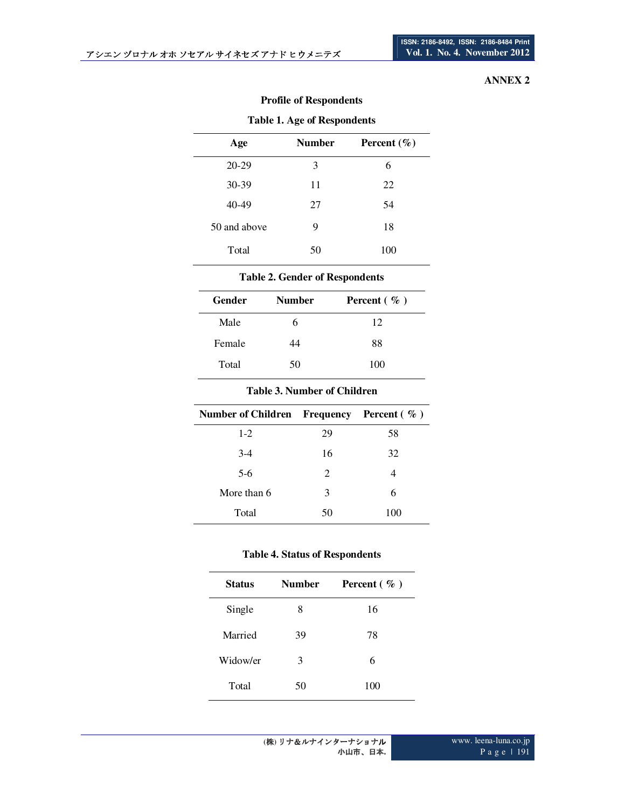# **ANNEX 2**

| Table 1. Age of Respondents |        |                 |  |
|-----------------------------|--------|-----------------|--|
| Age                         | Number | Percent $(\% )$ |  |
| 20-29                       | 3      | 6               |  |
| 30-39                       | 11     | 22              |  |
| 40-49                       | 27     | 54              |  |
| 50 and above                | 9      | 18              |  |
| Total                       | 50     | 100             |  |

# **Profile of Respondents**

# **Table 1. Age of Respondents**

## **Table 2. Gender of Respondents**

| Gender | <b>Number</b> | Percent $(\%)$ |
|--------|---------------|----------------|
| Male   | h             | 12             |
| Female | 44            | 88             |
| Total  | 50            | 100            |

## **Table 3. Number of Children**

| Number of Children Frequency Percent $(\% )$ |    |     |
|----------------------------------------------|----|-----|
| $1-2$                                        | 29 | 58  |
| $3-4$                                        | 16 | 32  |
| $5-6$                                        | 2  |     |
| More than 6                                  | 3  | 6   |
| Total                                        | 50 | 100 |

## **Table 4. Status of Respondents**

| <b>Status</b> | <b>Number</b> | Percent $(\%)$ |
|---------------|---------------|----------------|
| Single        | 8             | 16             |
| Married       | 39            | 78             |
| Widow/er      | 3             | 6              |
| Total         | 50            | 100            |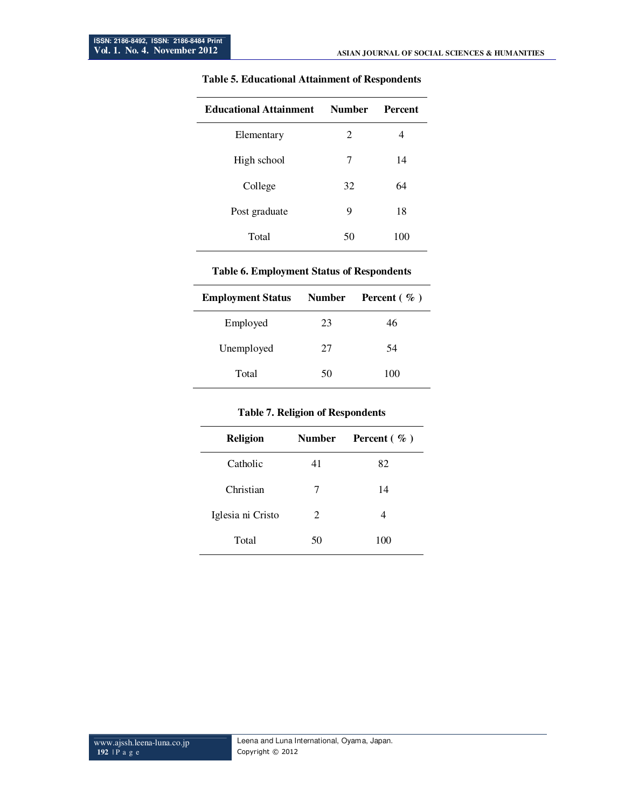| <b>Educational Attainment</b> | <b>Number</b> | <b>Percent</b> |
|-------------------------------|---------------|----------------|
| Elementary                    | 2             | 4              |
| High school                   | 7             | 14             |
| College                       | 32            | 64             |
| Post graduate                 | 9             | 18             |
| Total                         | 50            | 100            |

## **Table 5. Educational Attainment of Respondents**

#### **Table 6. Employment Status of Respondents**

| <b>Employment Status</b> | <b>Number</b> | Percent $(\% )$ |
|--------------------------|---------------|-----------------|
| Employed                 | 23            | 46              |
| Unemployed               | 27            | 54              |
| Total                    | 50            | 100             |

#### **Table 7. Religion of Respondents**

| <b>Religion</b>   | <b>Number</b> | Percent $(\% )$ |
|-------------------|---------------|-----------------|
| Catholic          | 41            | 82              |
| Christian         | 7             | 14              |
| Iglesia ni Cristo | 2             | 4               |
| Total             | 50            | 100             |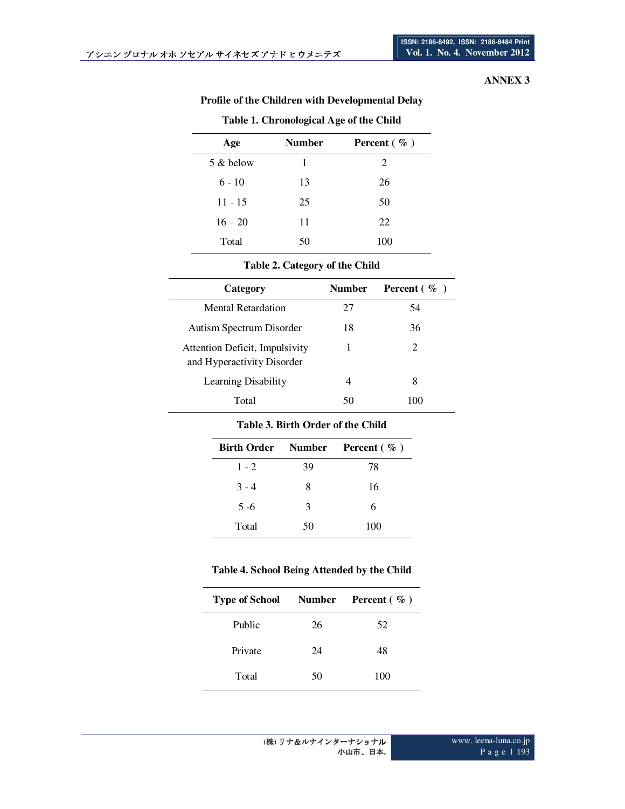# **ANNEX 3**

| Age       | <b>Number</b> | Percent $(\% )$ |
|-----------|---------------|-----------------|
| 5 & below | 1             | 2               |
| $6 - 10$  | 13            | 26              |
| $11 - 15$ | 25            | 50              |
| $16 - 20$ | 11            | 22              |
| Total     | 50            | 100             |

## **Table 1. Chronological Age of the Child**

#### **Table 2. Category of the Child**

| Category                                                     | Number | <b>Percent</b> $(\% )$ |
|--------------------------------------------------------------|--------|------------------------|
| Mental Retardation                                           | 27     | 54                     |
| Autism Spectrum Disorder                                     | 18     | 36                     |
| Attention Deficit, Impulsivity<br>and Hyperactivity Disorder |        | 2                      |
| Learning Disability                                          | 4      | 8                      |
| Total                                                        | 50     | 1 ( ) ( )              |

#### **Table 3. Birth Order of the Child**

|         |    | Birth Order Number Percent (%) |
|---------|----|--------------------------------|
| $1 - 2$ | 39 | 78                             |
| $3 - 4$ | 8  | 16                             |
| $5 - 6$ | 3  | 6                              |
| Total   | 50 | 100                            |

## **Table 4. School Being Attended by the Child**

| <b>Type of School</b> Number Percent $(\%$ ) |    |     |
|----------------------------------------------|----|-----|
| Public                                       | 26 | 52  |
| Private                                      | 24 | 48  |
| Total                                        | 50 | 100 |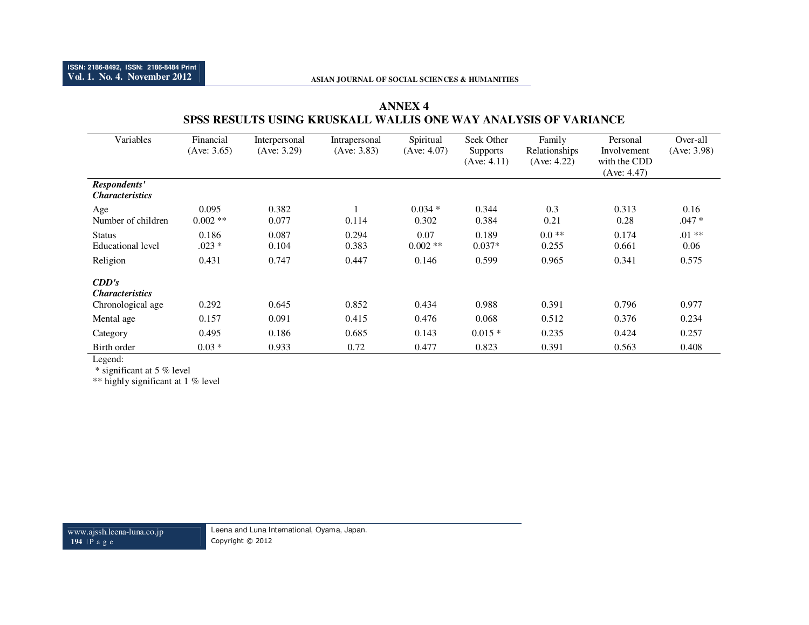# **ANNEX 4 SPSS RESULTS USING KRUSKALL WALLIS ONE WAY ANALYSIS OF VARIANCE**

| Variables                                                   | Financial<br>(Ave: 3.65) | Interpersonal<br>(Ave: 3.29) | Intrapersonal<br>(Ave: 3.83) | Spiritual<br>(Ave: 4.07) | Seek Other<br><b>Supports</b><br>(Ave: 4.11) | Family<br>Relationships<br>(Ave: 4.22) | Personal<br>Involvement<br>with the CDD<br>(Ave: 4.47) | Over-all<br>(Ave: 3.98) |
|-------------------------------------------------------------|--------------------------|------------------------------|------------------------------|--------------------------|----------------------------------------------|----------------------------------------|--------------------------------------------------------|-------------------------|
| Respondents'<br><i><b>Characteristics</b></i>               |                          |                              |                              |                          |                                              |                                        |                                                        |                         |
| Age<br>Number of children                                   | 0.095<br>$0.002$ **      | 0.382<br>0.077               | 0.114                        | $0.034*$<br>0.302        | 0.344<br>0.384                               | 0.3<br>0.21                            | 0.313<br>0.28                                          | 0.16<br>$.047 *$        |
| <b>Status</b><br><b>Educational level</b>                   | 0.186<br>$.023*$         | 0.087<br>0.104               | 0.294<br>0.383               | 0.07<br>$0.002$ **       | 0.189<br>$0.037*$                            | $0.0**$<br>0.255                       | 0.174<br>0.661                                         | $.01**$<br>0.06         |
| Religion                                                    | 0.431                    | 0.747                        | 0.447                        | 0.146                    | 0.599                                        | 0.965                                  | 0.341                                                  | 0.575                   |
| CDD's<br><i><b>Characteristics</b></i><br>Chronological age | 0.292                    | 0.645                        | 0.852                        | 0.434                    | 0.988                                        | 0.391                                  | 0.796                                                  | 0.977                   |
| Mental age                                                  | 0.157                    | 0.091                        | 0.415                        | 0.476                    | 0.068                                        | 0.512                                  | 0.376                                                  | 0.234                   |
| Category                                                    | 0.495                    | 0.186                        | 0.685                        | 0.143                    | $0.015*$                                     | 0.235                                  | 0.424                                                  | 0.257                   |
| Birth order                                                 | $0.03 *$                 | 0.933                        | 0.72                         | 0.477                    | 0.823                                        | 0.391                                  | 0.563                                                  | 0.408                   |

Legend:

\* significant at 5 % level

\*\* highly significant at 1 % level

www.ajssh.leena-luna.co.jp **194** | P <sup>a</sup> g <sup>e</sup>